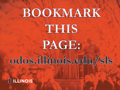# BOOKMARK THIS

PAGE:

## odos.illinois.edu/sls

**IT ILLINOIS**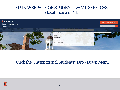#### MAIN WEBPAGE OF STUDENT LEGAL SERVICES odos.illinois.edu/sls



#### Click the "International Students" Drop Down Menu

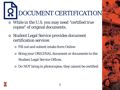DOCUMENT CERTIFICATION

- o While in the U.S. you may need "certified true copies" of original documents.
- o Student Legal Service provides document certification services
	- o Fill out and submit intake form Online
	- o Bring your ORIGINAL document or documents to the Student Legal Service Offices.
	- o Do NOT bring in photocopies; they cannot be certified.

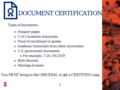

Types of documents:

- o Passport pages
- o U of I Academic transcripts
- o Proof of enrollment or grades
- o Academic transcripts from other universities
- o U.S. government documents
	- o For example, I-20, DS-2019
- o Birth Records
- o Marriage licenses

You MUST bring in the ORIGINAL to get a CERTIFIED copy.

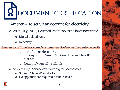DOCUMENT CERTIFICATION

Ameren – to set up an account for electricity

- o As of July, 2019, Certified Photocopies no longer accepted
	- o Digital upload, only
	- o NetVerify

Ameren.com/Illinois/account/customer-service/netverify/create-netverify

- Identification documents
	- o Passport, US Visa, U.S. Driver License, State ID
	- o iCard
- o Picture of yourself selfie ok
- o Student Legal Service can make digital photocopies
	- Submit "General" intake form
	- o No appointment required, walk-in basis

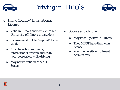



- o Home Country/ International License
	- $\circ$  Valid in Illinois and while enrolled  $\circ$  Spouse and children University of Illinois as a student
	- o License must not be "expired" to be valid.
	- o Must have home country/ international driver's license in your possession while driving
	- o May not be valid in other U.S. **States**
- - o May lawfully drive in Illinois
	- o They MUST have their own license.
	- o Your University enrollment permits this.

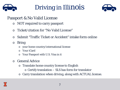



#### Passport & No Valid License

- o NOT required to carry passport
- Ticket/citation for "No Valid License"
- Submit "Traffic Ticket or Accident" intake form online
- o Bring
	- o your home country/international license
	- o Your iCard
	- o Your Passport with U.S. Visa in it
- o General Advice
	- o Translate home country license to English
		- o Certify translation SLS has form for translator
	- o Carry translation when driving, along with ACTUAL license.

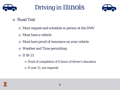



- o Road Test
	- o Must request and schedule in person at the DMV
	- o Must have a vehicle
	- o Must have proof of insurance on your vehicle
	- o Weather and Time permitting
	- $\circ$  If 18-21
		- o Proof of completion of 6 hours of driver's education
		- o If over 21, not required

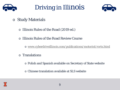



- o Study Materials
	- o Illinois Rules of the Road (2019 ed.)
	- o Illinois Rules of the Road Review Course
		- o [www.cyberdriveillinois.com/publications/motorist/rorts.html](http://www.cyberdriveillinois.com/publications/motorist/rorts.html)
	- o Translations
		- o Polish and Spanish available on Secretary of State website
		- o Chinese translation available at SLS website

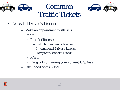



- No Valid Driver's License
	- Make an appointment with SLS
	- Bring
		- Proof of license:
			- Valid home country license
			- International Driver's License
			- Temporary visitor's license
		- iCard
		- Passport containing your current U.S. Visa
	- Likelihood of dismissal

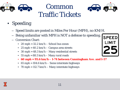



#### Common Traffic Tickets

- Speeding
	- Speed limits are posted in Miles Per Hour (MPH), no KM/H.
	- Being unfamiliar with MPH is NOT a defense to speeding.
	- Conversion Chart:
		- 20 mph  $= 32.2$  km/h  $-$  School bus zones
		- 25 mph =  $40.2 \text{ km/h}$  Campus area streets
		- 30 mph  $= 48.3$  km/h  $-$  Many residential streets
		- 55 mph =  $88.5 \text{ km/h}$  Many rural roads
		- **60 mph = 95.6 km/h – I-74 between Cunningham Ave. and I-57**
		- 65 mph =  $104.6$  km/h Some interstate highways
		- 70 mph = 112.7 km/h Many interstate highways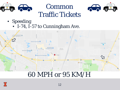



### Common Traffic Tickets

#### • Speeding

• I-74, I-57 to Cunningham Ave.



#### 60 MPH or 95 KM/H

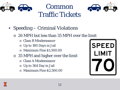



#### Common Traffic Tickets

- Speeding Criminal Violations
	- o 26 MPH but less than 35 MPH over the limit
		- o Class B Misdemeanor
		- o Up to 180 Days in Jail
		- o Maximum Fine \$1,500.00
	- o 35 MPH and higher over the limit
		- **Class A Misdemeanor**
		- o Up to 364 Day in Jail
		- o Maximum Fine \$2,500.00



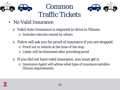



- No Valid Insurance
	- o Valid Auto Insurance is required to drive in Illinois.
		- o Includes vehicles owned by others
	- o Police will ask you for proof of insurance if you are stopped
		- o Proof not in vehicle at the time of the stop
		- o Likely will be dismissed after providing proof
	- If you did not have valid insurance, you must get it.
		- o Insurance Agent will advise what type of insurance satisfies Illinois requirements

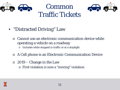



- "Distracted Driving" Law
	- Cannot use an electronic communication device while operating a vehicle on a roadway
		- o Includes while stopped in traffic or at a stoplight
	- o A Cell phone is an Electronic Communication Device
	- o 2019 Change in the Law
		- o First violation is now a "moving" violation

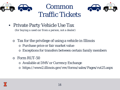



• Private Party Vehicle Use Tax

*(for buying a used car from a person, not a dealer)*

- o Tax for the privilege of using a vehicle in Illinois
	- o Purchase price or fair market value
	- o Exceptions for transfers between certain family members
- o Form RUT-50
	- o Available at DMV or Currency Exchange
	- o https://www2.illinois.gov/rev/forms/sales/Pages/rut25.aspx

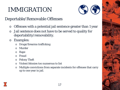

#### Deportable/Removable Offenses

- o Offenses with a potential jail sentence greater than 1 year
- o Jail sentence does not have to be served to quality for deportability/removability.
- o Examples:
	- o Drugs/firearms trafficking
	- o Murder
	- o Rape
	- o Fraud
	- o Felony Theft
	- o Violent felonies too numerous to list
	- o Multiple convictions from separate incidents for offenses that carry up to one year in jail.



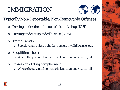

Typically Non-Deportable/Non-Removable Offenses

- o Driving under the influence of alcohol/drug (DUI)
- o Driving under suspended license (DUS)
- **Traffic Tickets** 
	- o Speeding, stop sign/light, lane usage, invalid license, etc.
- o Shoplifting (theft)
	- o Where the potential sentence is less than one year in jail.
- o Possession of drug paraphernalia
	- o Where the potential sentence is less than one year in jail

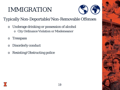

Typically Non-Deportable/Non-Removable Offenses

- o Underage drinking or possession of alcohol
	- o City Ordinance Violation or Misdemeanor
- o Tresspass
- o Disorderly conduct
- o Resisting/Obstructing police

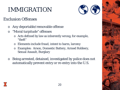

#### Exclusion Offenses

- o Any deportable/removable offense
- o "Moral turpitude" offenses
	- o Acts defined by law as inherently wrong, for example, "theft"
	- o Elements include fraud, intent to harm, larceny
	- o Examples: Arson, Domestic Battery, Armed Robbery, Sexual Assault, Burglary
- o Being arrested, detained, investigated by police does not automatically prevent entry or re-entry into the U.S.

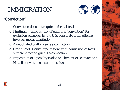

#### "Conviction"

- o Conviction does not require a formal trial
- o Finding by judge or jury of guilt is a "conviction" for exclusion purposes by the U.S. consulate if the offense involves moral turpitude.
- o A negotiated guilty plea is a conviction.
- o Granting of "Court Supervision" with admission of facts sufficient to find guilt is a conviction.
- o Imposition of a penalty is also an element of "conviction"
- o Not all convictions result in exclusion

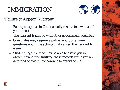

#### "Failure to Appear" Warrant

- Failing to appear in Court usually results in a warrant for your arrest
- The warrant is shared with other government agencies.
- Consulates may require a police report or answer questions about the activity that caused the warrant to issue.
- Student Legal Service may be able to assist you in obtaining and transmitting these records while you are detained or awaiting clearance to enter the U.S.

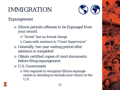

#### Expungement

- o Illinois permits offenses to be Expunged from your record.
	- o "Arrest" but no formal charge
	- o Cases with sentence to "Court Supervision"
- o Generally, two year waiting period after sentence is completed
- o Obtain certified copies of court documents before filing expungement
- o U.S. Government
	- o Not required to recognize Illinois expungements in deciding to exclude your return to the U.S.

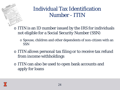- o ITIN is an ID number issued by the IRS for individuals not eligible for a Social Security Number (SSN)
	- o Spouse, children and other dependents of non-citizen with an SSN
- o ITIN allows personal tax filing or to receive tax refund from income withholdings
- o ITIN can also be used to open bank accounts and apply for loans

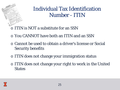- o ITIN is NOT a substitute for an SSN
- o You CANNOT have both an ITIN and an SSN
- o Cannot be used to obtain a driver's license or Social Security benefits
- o ITIN does not change your immigration status
- o ITIN does not change your right to work in the United **States**

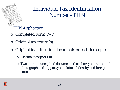ITIN Application

- o Completed Form W-7
- o Original tax return(s)
- o Original identification documents or certified copies
	- o Original passport **OR**
	- o Two or more unexpired documents that show your name and photograph and support your claim of identity and foreign status

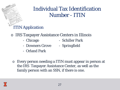#### ITIN Application

- o IRS Taxpayer Assistance Centers in Illinois
	- Chicago Schiller Park
	- Downers Grove Springfield
- 

- Orland Park
- o Every person needing a ITIN must appear in person at the IRS Taxpayer Assistance Center, as well as the family person with an SSN, if there is one.

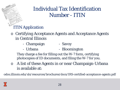#### ITIN Application

- o Certifying Acceptance Agents and Acceptance Agents in Central Illinois
	- Champaign Savoy
	- Urbana Bloomington

They charge a fee for filling out the W-7 form, certifying photocopies of ID documents, and filing the W-7 for you.

o A list of these Agents in or near Champaign-Urbana is available at:

odos.illinois.edu/sls/resources/brochures/docs/IRS-certified-acceptance-agents.pdf